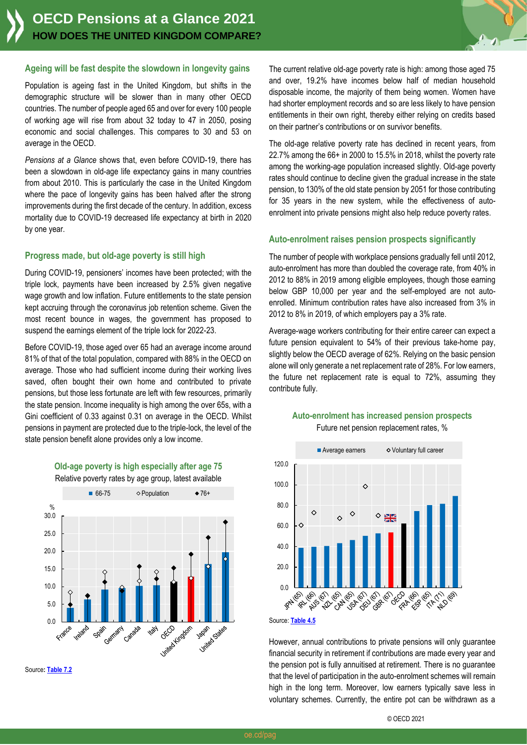

## **Ageing will be fast despite the slowdown in longevity gains**

Population is ageing fast in the United Kingdom, but shifts in the demographic structure will be slower than in many other OECD countries. The number of people aged 65 and over for every 100 people of working age will rise from about 32 today to 47 in 2050, posing economic and social challenges. This compares to 30 and 53 on average in the OECD.

*Pensions at a Glance* shows that, even before COVID-19, there has been a slowdown in old-age life expectancy gains in many countries from about 2010. This is particularly the case in the United Kingdom where the pace of longevity gains has been halved after the strong improvements during the first decade of the century. In addition, excess mortality due to COVID-19 decreased life expectancy at birth in 2020 by one year.

## **Progress made, but old-age poverty is still high**

During COVID-19, pensioners' incomes have been protected; with the triple lock, payments have been increased by 2.5% given negative wage growth and low inflation. Future entitlements to the state pension kept accruing through the coronavirus job retention scheme. Given the most recent bounce in wages, the government has proposed to suspend the earnings element of the triple lock for 2022-23.

Before COVID-19, those aged over 65 had an average income around 81% of that of the total population, compared with 88% in the OECD on average. Those who had sufficient income during their working lives saved, often bought their own home and contributed to private pensions, but those less fortunate are left with few resources, primarily the state pension. Income inequality is high among the over 65s, with a Gini coefficient of 0.33 against 0.31 on average in the OECD. Whilst pensions in payment are protected due to the triple-lock, the level of the state pension benefit alone provides only a low income.



**Old-age poverty is high especially after age 75** Relative poverty rates by age group, latest available

Source**[: Table 7.2](https://stat.link/4sgc2z)**

The current relative old-age poverty rate is high: among those aged 75 and over, 19.2% have incomes below half of median household disposable income, the majority of them being women. Women have had shorter employment records and so are less likely to have pension entitlements in their own right, thereby either relying on credits based on their partner's contributions or on survivor benefits.

The old-age relative poverty rate has declined in recent years, from 22.7% among the 66+ in 2000 to 15.5% in 2018, whilst the poverty rate among the working-age population increased slightly. Old-age poverty rates should continue to decline given the gradual increase in the state pension, to 130% of the old state pension by 2051 for those contributing for 35 years in the new system, while the effectiveness of autoenrolment into private pensions might also help reduce poverty rates.

## **Auto-enrolment raises pension prospects significantly**

The number of people with workplace pensions gradually fell until 2012, auto-enrolment has more than doubled the coverage rate, from 40% in 2012 to 88% in 2019 among eligible employees, though those earning below GBP 10,000 per year and the self-employed are not autoenrolled. Minimum contribution rates have also increased from 3% in 2012 to 8% in 2019, of which employers pay a 3% rate.

Average-wage workers contributing for their entire career can expect a future pension equivalent to 54% of their previous take-home pay, slightly below the OECD average of 62%. Relying on the basic pension alone will only generate a net replacement rate of 28%. For low earners, the future net replacement rate is equal to 72%, assuming they contribute fully.





Source: **[Table 4.5](https://stat.link/scxdj3)**

However, annual contributions to private pensions will only guarantee financial security in retirement if contributions are made every year and the pension pot is fully annuitised at retirement. There is no guarantee that the level of participation in the auto-enrolment schemes will remain high in the long term. Moreover, low earners typically save less in voluntary schemes. Currently, the entire pot can be withdrawn as a